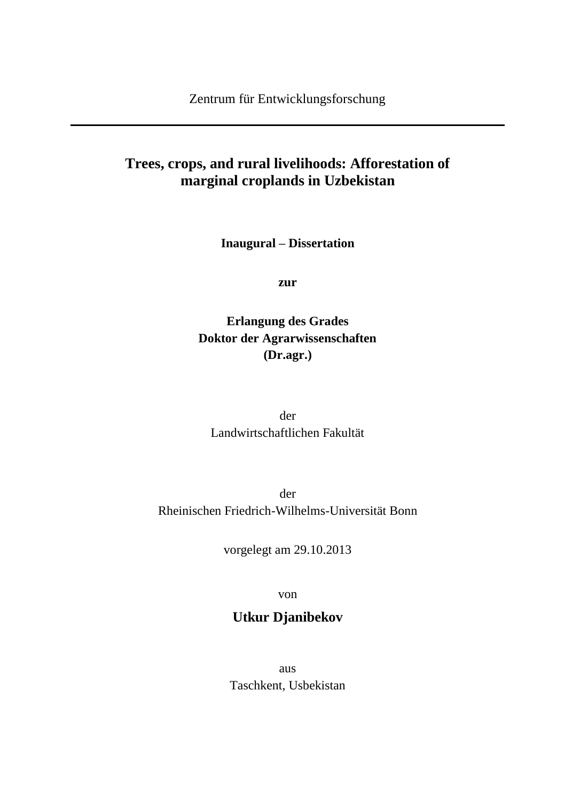## **Trees, crops, and rural livelihoods: Afforestation of marginal croplands in Uzbekistan**

**Inaugural – Dissertation**

**zur**

## **Erlangung des Grades Doktor der Agrarwissenschaften (Dr.agr.)**

der Landwirtschaftlichen Fakultät

der Rheinischen Friedrich-Wilhelms-Universität Bonn

vorgelegt am 29.10.2013

von

# **Utkur Djanibekov**

aus Taschkent, Usbekistan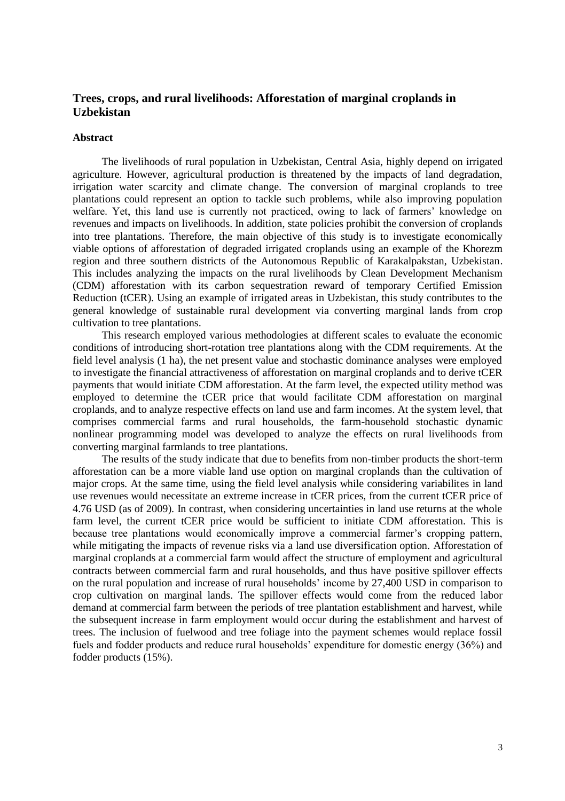### **Trees, crops, and rural livelihoods: Afforestation of marginal croplands in Uzbekistan**

#### **Abstract**

The livelihoods of rural population in Uzbekistan, Central Asia, highly depend on irrigated agriculture. However, agricultural production is threatened by the impacts of land degradation, irrigation water scarcity and climate change. The conversion of marginal croplands to tree plantations could represent an option to tackle such problems, while also improving population welfare. Yet, this land use is currently not practiced, owing to lack of farmers' knowledge on revenues and impacts on livelihoods. In addition, state policies prohibit the conversion of croplands into tree plantations. Therefore, the main objective of this study is to investigate economically viable options of afforestation of degraded irrigated croplands using an example of the Khorezm region and three southern districts of the Autonomous Republic of Karakalpakstan, Uzbekistan. This includes analyzing the impacts on the rural livelihoods by Clean Development Mechanism (CDM) afforestation with its carbon sequestration reward of temporary Certified Emission Reduction (tCER). Using an example of irrigated areas in Uzbekistan, this study contributes to the general knowledge of sustainable rural development via converting marginal lands from crop cultivation to tree plantations.

This research employed various methodologies at different scales to evaluate the economic conditions of introducing short-rotation tree plantations along with the CDM requirements. At the field level analysis (1 ha), the net present value and stochastic dominance analyses were employed to investigate the financial attractiveness of afforestation on marginal croplands and to derive tCER payments that would initiate CDM afforestation. At the farm level, the expected utility method was employed to determine the tCER price that would facilitate CDM afforestation on marginal croplands, and to analyze respective effects on land use and farm incomes. At the system level, that comprises commercial farms and rural households, the farm-household stochastic dynamic nonlinear programming model was developed to analyze the effects on rural livelihoods from converting marginal farmlands to tree plantations.

The results of the study indicate that due to benefits from non-timber products the short-term afforestation can be a more viable land use option on marginal croplands than the cultivation of major crops. At the same time, using the field level analysis while considering variabilites in land use revenues would necessitate an extreme increase in tCER prices, from the current tCER price of 4.76 USD (as of 2009). In contrast, when considering uncertainties in land use returns at the whole farm level, the current tCER price would be sufficient to initiate CDM afforestation. This is because tree plantations would economically improve a commercial farmer's cropping pattern, while mitigating the impacts of revenue risks via a land use diversification option. Afforestation of marginal croplands at a commercial farm would affect the structure of employment and agricultural contracts between commercial farm and rural households, and thus have positive spillover effects on the rural population and increase of rural households' income by 27,400 USD in comparison to crop cultivation on marginal lands. The spillover effects would come from the reduced labor demand at commercial farm between the periods of tree plantation establishment and harvest, while the subsequent increase in farm employment would occur during the establishment and harvest of trees. The inclusion of fuelwood and tree foliage into the payment schemes would replace fossil fuels and fodder products and reduce rural households' expenditure for domestic energy (36%) and fodder products (15%).